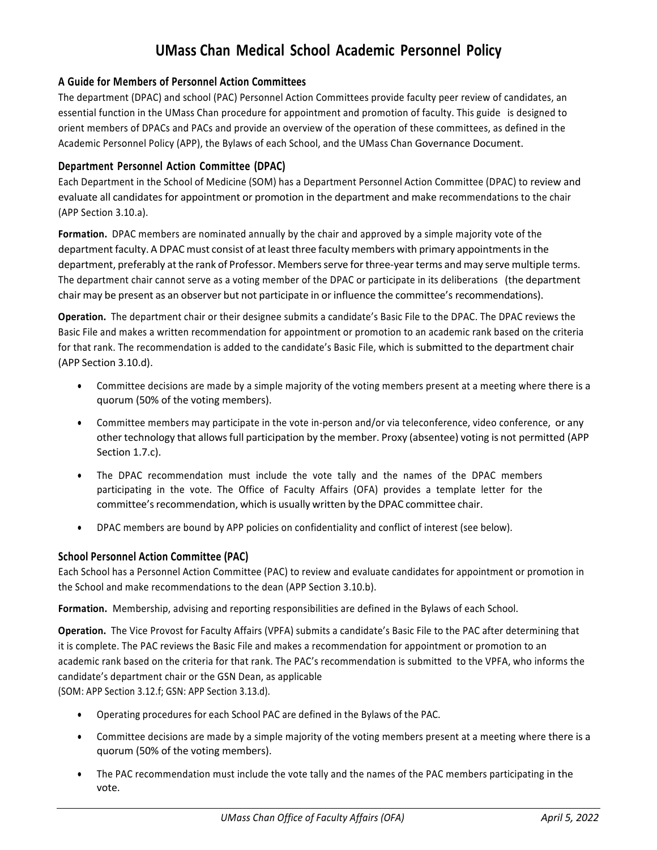# **UMass Chan Medical School Academic Personnel Policy**

## **A Guide for Members of Personnel Action Committees**

The department (DPAC) and school (PAC) Personnel Action Committees provide faculty peer review of candidates, an essential function in the UMass Chan procedure for appointment and promotion of faculty. This guide is designed to orient members of DPACs and PACs and provide an overview of the operation of these committees, as defined in the Academic Personnel Policy (APP), the Bylaws of each School, and the UMass Chan Governance Document.

### **Department Personnel Action Committee (DPAC)**

Each Department in the School of Medicine (SOM) has a Department Personnel Action Committee (DPAC) to review and evaluate all candidates for appointment or promotion in the department and make recommendations to the chair (APP Section 3.10.a).

**Formation.** DPAC members are nominated annually by the chair and approved by a simple majority vote of the department faculty. A DPAC must consist of at least three faculty members with primary appointments in the department, preferably at the rank of Professor. Members serve for three-year terms and may serve multiple terms. The department chair cannot serve as a voting member of the DPAC or participate in its deliberations (the department chair may be present as an observer but not participate in or influence the committee's recommendations).

**Operation.** The department chair or their designee submits a candidate's Basic File to the DPAC. The DPAC reviews the Basic File and makes a written recommendation for appointment or promotion to an academic rank based on the criteria for that rank. The recommendation is added to the candidate's Basic File, which is submitted to the department chair (APP Section 3.10.d).

- Committee decisions are made by a simple majority of the voting members present at a meeting where there is a quorum (50% of the voting members).
- Committee members may participate in the vote in-person and/or via teleconference, video conference, or any other technology that allowsfull participation by the member. Proxy (absentee) voting is not permitted (APP Section 1.7.c).
- The DPAC recommendation must include the vote tally and the names of the DPAC members participating in the vote. The Office of Faculty Affairs (OFA) provides a template letter for the committee's recommendation, which is usually written by the DPAC committee chair.
- DPAC members are bound by APP policies on confidentiality and conflict of interest (see below).

### **School Personnel Action Committee (PAC)**

Each School has a Personnel Action Committee (PAC) to review and evaluate candidates for appointment or promotion in the School and make recommendations to the dean (APP Section 3.10.b).

**Formation.** Membership, advising and reporting responsibilities are defined in the Bylaws of each School.

**Operation.** The Vice Provost for Faculty Affairs (VPFA) submits a candidate's Basic File to the PAC after determining that it is complete. The PAC reviews the Basic File and makes a recommendation for appointment or promotion to an academic rank based on the criteria for that rank. The PAC's recommendation is submitted to the VPFA, who informs the candidate's department chair or the GSN Dean, as applicable (SOM: APP Section 3.12.f; GSN: APP Section 3.13.d).

- Operating procedures for each School PAC are defined in the Bylaws of the PAC.
- Committee decisions are made by a simple majority of the voting members present at a meeting where there is a quorum (50% of the voting members).
- The PAC recommendation must include the vote tally and the names of the PAC members participating in the vote.